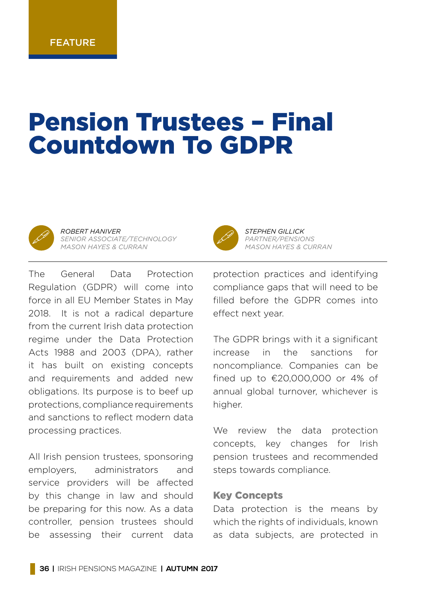#### **FFATURE**

# Pension Trustees – Final Countdown To GDPR



" *ROBERT HANIVER SENIOR ASSOCIATE/TECHNOLOGY MASON HAYES & CURRAN*



All Irish pension trustees, sponsoring employers, administrators and service providers will be affected by this change in law and should be preparing for this now. As a data controller, pension trustees should be assessing their current data



**STEPHEN GILLICK**<br>*PARTNER/PENSIONS*<br>*MASON HAVES & CUL MASON HAYES & CURRAN*

protection practices and identifying compliance gaps that will need to be filled before the GDPR comes into effect next year.

The GDPR brings with it a significant increase in the sanctions for noncompliance. Companies can be fined up to  $£20,000,000$  or 4% of annual global turnover, whichever is higher.

We review the data protection concepts, key changes for Irish pension trustees and recommended steps towards compliance.

#### Key Concepts

Data protection is the means by which the rights of individuals, known as data subjects, are protected in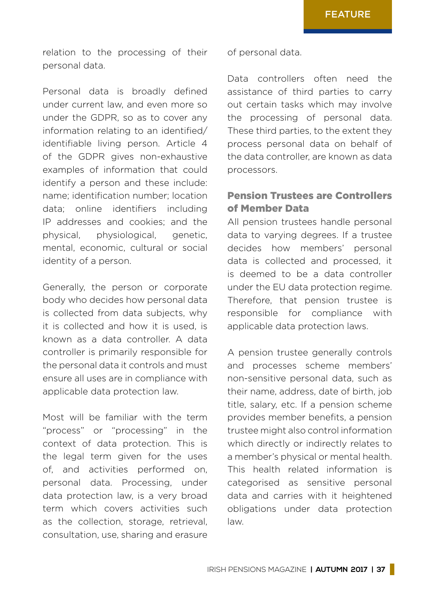relation to the processing of their personal data.

Personal data is broadly defined under current law, and even more so under the GDPR, so as to cover any information relating to an identified/ identifiable living person. Article 4 of the GDPR gives non-exhaustive examples of information that could identify a person and these include: name; identification number; location data; online identifiers including IP addresses and cookies; and the physical, physiological, genetic, mental, economic, cultural or social identity of a person.

Generally, the person or corporate body who decides how personal data is collected from data subjects, why it is collected and how it is used, is known as a data controller. A data controller is primarily responsible for the personal data it controls and must ensure all uses are in compliance with applicable data protection law.

Most will be familiar with the term "process" or "processing" in the context of data protection. This is the legal term given for the uses of, and activities performed on, personal data. Processing, under data protection law, is a very broad term which covers activities such as the collection, storage, retrieval, consultation, use, sharing and erasure

of personal data.

Data controllers often need the assistance of third parties to carry out certain tasks which may involve the processing of personal data. These third parties, to the extent they process personal data on behalf of the data controller, are known as data processors.

## Pension Trustees are Controllers of Member Data

All pension trustees handle personal data to varying degrees. If a trustee decides how members' personal data is collected and processed, it is deemed to be a data controller under the EU data protection regime. Therefore, that pension trustee is responsible for compliance with applicable data protection laws.

A pension trustee generally controls and processes scheme members' non-sensitive personal data, such as their name, address, date of birth, job title, salary, etc. If a pension scheme provides member benefits, a pension trustee might also control information which directly or indirectly relates to a member's physical or mental health. This health related information is categorised as sensitive personal data and carries with it heightened obligations under data protection law.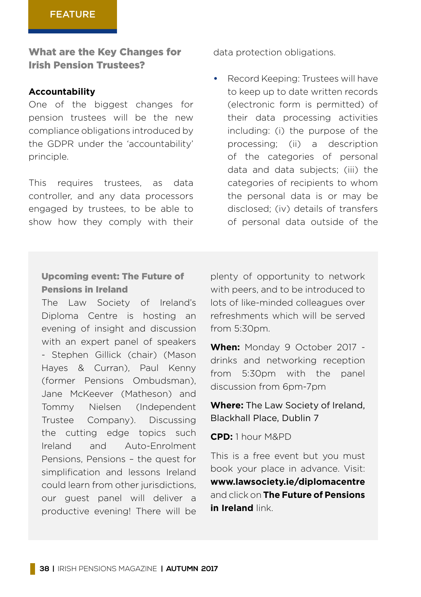What are the Key Changes for Irish Pension Trustees?

#### **Accountability**

One of the biggest changes for pension trustees will be the new compliance obligations introduced by the GDPR under the 'accountability' principle.

This requires trustees as data controller, and any data processors engaged by trustees, to be able to show how they comply with their

data protection obligations.

**•** Record Keeping: Trustees will have to keep up to date written records (electronic form is permitted) of their data processing activities including: (i) the purpose of the processing; (ii) a description of the categories of personal data and data subjects; (iii) the categories of recipients to whom the personal data is or may be disclosed; (iv) details of transfers of personal data outside of the

### Upcoming event: The Future of Pensions in Ireland

The Law Society of Ireland's Diploma Centre is hosting an evening of insight and discussion with an expert panel of speakers - Stephen Gillick (chair) (Mason Hayes & Curran), Paul Kenny (former Pensions Ombudsman), Jane McKeever (Matheson) and Tommy Nielsen (Independent Trustee Company). Discussing the cutting edge topics such Ireland and Auto-Enrolment Pensions, Pensions – the quest for simplification and lessons Ireland could learn from other jurisdictions, our guest panel will deliver a productive evening! There will be plenty of opportunity to network with peers, and to be introduced to lots of like-minded colleagues over refreshments which will be served  $from 5:30nm$ 

**When:** Monday 9 October 2017 drinks and networking reception from 5:30pm with the panel discussion from 6pm-7pm

**Where:** The Law Society of Ireland, Blackhall Place, Dublin 7

**CPD:** 1 hour M&PD

This is a free event but you must book your place in advance. Visit: **[www.lawsociety.ie/diplomacentre](https://www.lawsociety.ie/diplomacentre)** and click on **[The Future of Pensions](https://www.eventbrite.ie/e/diploma-centre-panel-discussion-and-networking-evening-the-future-of-pensions-in-ireland-tickets-35722231155) [in Ireland](https://www.eventbrite.ie/e/diploma-centre-panel-discussion-and-networking-evening-the-future-of-pensions-in-ireland-tickets-35722231155)** link.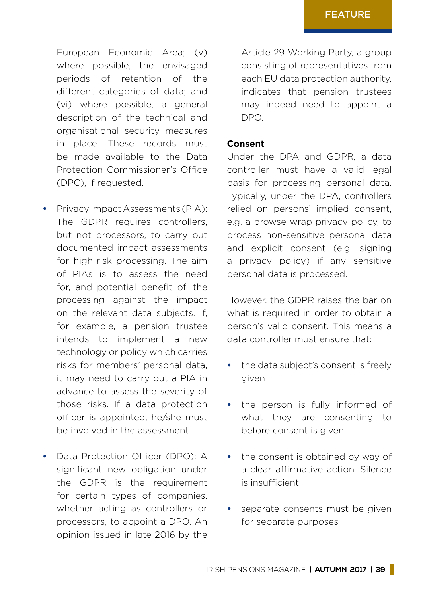European Economic Area; (v) where possible, the envisaged periods of retention of the different categories of data; and (vi) where possible, a general description of the technical and organisational security measures in place. These records must be made available to the Data Protection Commissioner's Office (DPC), if requested.

- **•** Privacy Impact Assessments (PIA): The GDPR requires controllers. but not processors, to carry out documented impact assessments for high-risk processing. The aim of PIAs is to assess the need for, and potential benefit of, the processing against the impact on the relevant data subjects. If, for example, a pension trustee intends to implement a new technology or policy which carries risks for members' personal data, it may need to carry out a PIA in advance to assess the severity of those risks. If a data protection officer is appointed, he/she must be involved in the assessment.
- **•** Data Protection Officer (DPO): A significant new obligation under the GDPR is the requirement for certain types of companies, whether acting as controllers or processors, to appoint a DPO. An opinion issued in late 2016 by the

Article 29 Working Party, a group consisting of representatives from each EU data protection authority, indicates that pension trustees may indeed need to appoint a DPO.

#### **Consent**

Under the DPA and GDPR, a data controller must have a valid legal basis for processing personal data. Typically, under the DPA, controllers relied on persons' implied consent, e.g. a browse-wrap privacy policy, to process non-sensitive personal data and explicit consent (e.g. signing a privacy policy) if any sensitive personal data is processed.

However, the GDPR raises the bar on what is required in order to obtain a person's valid consent. This means a data controller must ensure that:

- **•** the data subject's consent is freely given
- **•** the person is fully informed of what they are consenting to before consent is given
- **•** the consent is obtained by way of a clear affirmative action. Silence is insufficient.
- **•** separate consents must be given for separate purposes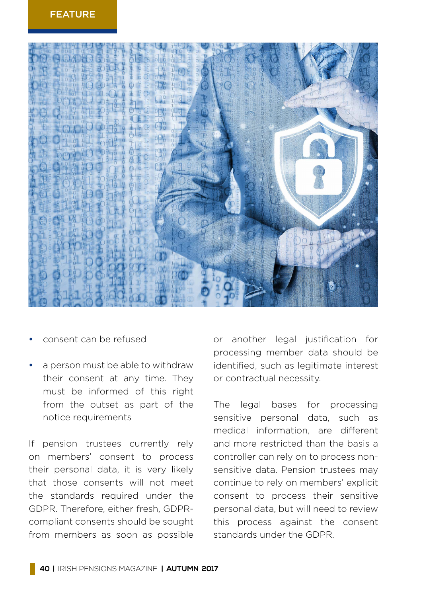

- **•** consent can be refused
- **•** a person must be able to withdraw their consent at any time. They must be informed of this right from the outset as part of the notice requirements

If pension trustees currently rely on members' consent to process their personal data, it is very likely that those consents will not meet the standards required under the GDPR. Therefore, either fresh, GDPRcompliant consents should be sought from members as soon as possible or another legal justification for processing member data should be identified, such as legitimate interest or contractual necessity.

The legal bases for processing sensitive personal data, such as medical information, are different and more restricted than the basis a controller can rely on to process nonsensitive data. Pension trustees may continue to rely on members' explicit consent to process their sensitive personal data, but will need to review this process against the consent standards under the GDPR.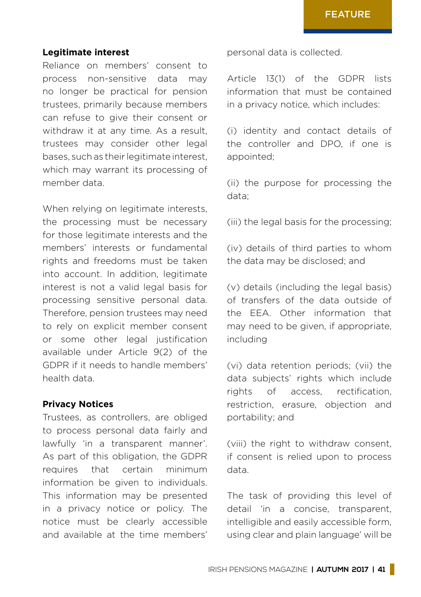#### **Legitimate interest**

Reliance on members' consent to process non-sensitive data may no longer be practical for pension trustees, primarily because members can refuse to give their consent or withdraw it at any time. As a result, trustees may consider other legal bases, such as their legitimate interest, which may warrant its processing of member data.

When relying on legitimate interests, the processing must be necessary for those legitimate interests and the members' interests or fundamental rights and freedoms must be taken into account. In addition, legitimate interest is not a valid legal basis for processing sensitive personal data. Therefore, pension trustees may need to rely on explicit member consent or some other legal justification available under Article 9(2) of the GDPR if it needs to handle members' health data.

#### **Privacy Notices**

Trustees, as controllers, are obliged to process personal data fairly and lawfully 'in a transparent manner'. As part of this obligation, the GDPR requires that certain minimum information be given to individuals. This information may be presented in a privacy notice or policy. The notice must be clearly accessible and available at the time members'

personal data is collected.

Article 13(1) of the GDPR lists information that must be contained in a privacy notice, which includes:

(i) identity and contact details of the controller and DPO, if one is appointed;

(ii) the purpose for processing the data;

(iii) the legal basis for the processing;

(iv) details of third parties to whom the data may be disclosed; and

(v) details (including the legal basis) of transfers of the data outside of the EEA. Other information that may need to be given, if appropriate, including

(vi) data retention periods; (vii) the data subjects' rights which include rights of access, rectification, restriction, erasure, objection and portability; and

(viii) the right to withdraw consent, if consent is relied upon to process data.

The task of providing this level of detail 'in a concise, transparent, intelligible and easily accessible form, using clear and plain language' will be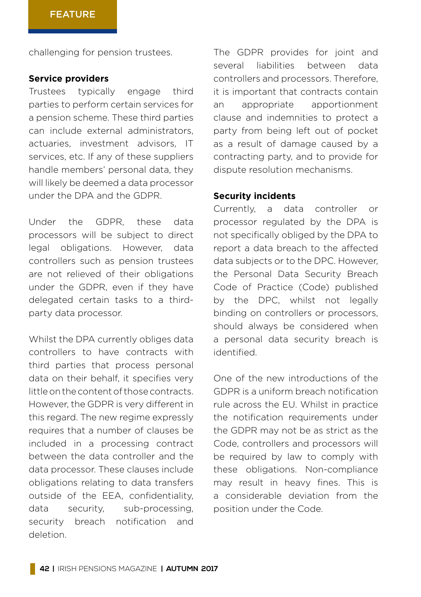challenging for pension trustees.

#### **Service providers**

Trustees typically engage third parties to perform certain services for a pension scheme. These third parties can include external administrators, actuaries, investment advisors, IT services, etc. If any of these suppliers handle members' personal data, they will likely be deemed a data processor under the DPA and the GDPR.

Under the GDPR, these data processors will be subject to direct legal obligations. However, data controllers such as pension trustees are not relieved of their obligations under the GDPR, even if they have delegated certain tasks to a thirdparty data processor.

Whilst the DPA currently obliges data controllers to have contracts with third parties that process personal data on their behalf, it specifies very little on the content of those contracts. However, the GDPR is very different in this regard. The new regime expressly requires that a number of clauses be included in a processing contract between the data controller and the data processor. These clauses include obligations relating to data transfers outside of the EEA, confidentiality, data security, sub-processing, security breach notification and deletion.

The GDPR provides for joint and several liabilities between data controllers and processors. Therefore, it is important that contracts contain an appropriate apportionment clause and indemnities to protect a party from being left out of pocket as a result of damage caused by a contracting party, and to provide for dispute resolution mechanisms.

#### **Security incidents**

Currently, a data controller or processor regulated by the DPA is not specifically obliged by the DPA to report a data breach to the affected data subjects or to the DPC. However, the Personal Data Security Breach Code of Practice (Code) published by the DPC, whilst not legally binding on controllers or processors, should always be considered when a personal data security breach is identified.

One of the new introductions of the GDPR is a uniform breach notification rule across the EU. Whilst in practice the notification requirements under the GDPR may not be as strict as the Code, controllers and processors will be required by law to comply with these obligations. Non-compliance may result in heavy fines. This is a considerable deviation from the position under the Code.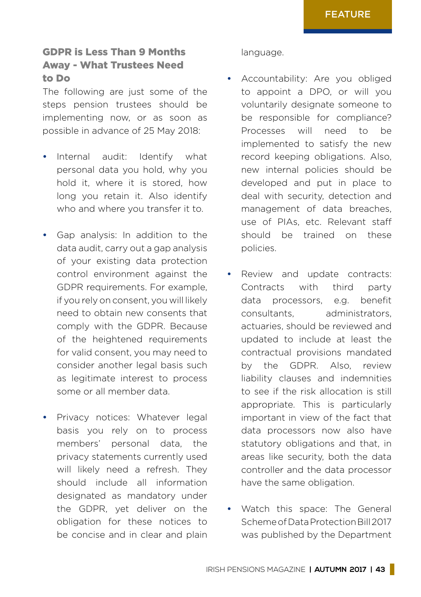# GDPR is Less Than 9 Months Away - What Trustees Need to Do

The following are just some of the steps pension trustees should be implementing now, or as soon as possible in advance of 25 May 2018:

- **•** Internal audit: Identify what personal data you hold, why you hold it, where it is stored, how long you retain it. Also identify who and where you transfer it to.
- **•** Gap analysis: In addition to the data audit, carry out a gap analysis of your existing data protection control environment against the GDPR requirements. For example, if you rely on consent, you will likely need to obtain new consents that comply with the GDPR. Because of the heightened requirements for valid consent, you may need to consider another legal basis such as legitimate interest to process some or all member data.
- **•** Privacy notices: Whatever legal basis you rely on to process members' personal data, the privacy statements currently used will likely need a refresh. They should include all information designated as mandatory under the GDPR, yet deliver on the obligation for these notices to be concise and in clear and plain

#### language.

- **•** Accountability: Are you obliged to appoint a DPO, or will you voluntarily designate someone to be responsible for compliance? Processes will need to be implemented to satisfy the new record keeping obligations. Also, new internal policies should be developed and put in place to deal with security, detection and management of data breaches, use of PIAs, etc. Relevant staff should be trained on these policies.
- **•** Review and update contracts: Contracts with third party data processors, e.g. benefit consultants, administrators, actuaries, should be reviewed and updated to include at least the contractual provisions mandated by the GDPR. Also, review liability clauses and indemnities to see if the risk allocation is still appropriate. This is particularly important in view of the fact that data processors now also have statutory obligations and that, in areas like security, both the data controller and the data processor have the same obligation.
- **•** Watch this space: The General Scheme of Data Protection Bill 2017 was published by the Department